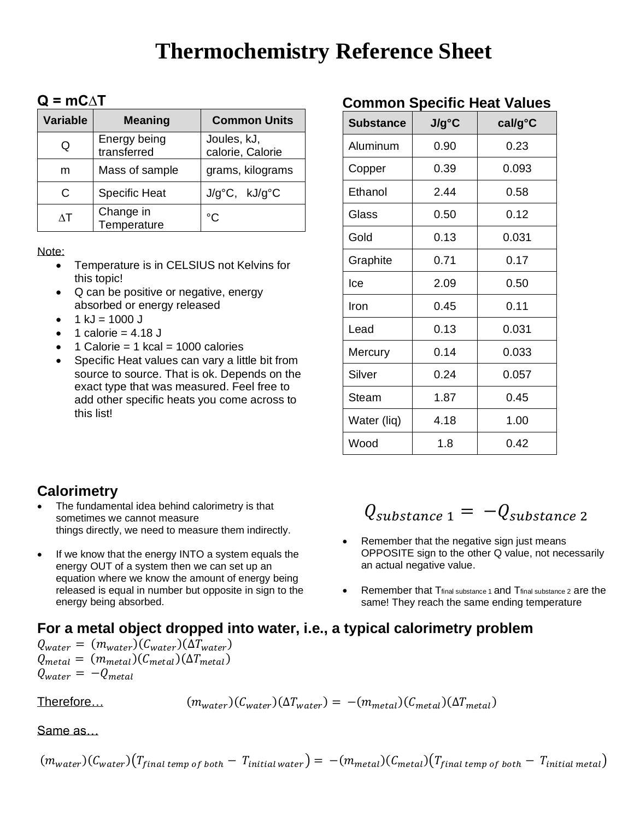# **Thermochemistry Reference Sheet**

## **Q = mC∆T**

| <b>Variable</b> | <b>Meaning</b>              | <b>Common Units</b>              |
|-----------------|-----------------------------|----------------------------------|
| Q               | Energy being<br>transferred | Joules, kJ,<br>calorie, Calorie  |
| m               | Mass of sample              | grams, kilograms                 |
| C               | <b>Specific Heat</b>        | $J/q^{\circ}C$ , $kJ/q^{\circ}C$ |
| ΛT              | Change in<br>Temperature    | °C                               |

Note:

- Temperature is in CELSIUS not Kelvins for this topic!
- Q can be positive or negative, energy absorbed or energy released
- $1$  kJ = 1000 J
- 1 calorie =  $4.18$  J
- 1 Calorie = 1 kcal = 1000 calories
- Specific Heat values can vary a little bit from source to source. That is ok. Depends on the exact type that was measured. Feel free to add other specific heats you come across to this list!

## **Common Specific Heat Values**

| <b>Substance</b> | $J/g^{\circ}C$ | cal/g°C |
|------------------|----------------|---------|
| Aluminum         | 0.90           | 0.23    |
| Copper           | 0.39           | 0.093   |
| Ethanol          | 2.44           | 0.58    |
| Glass            | 0.50           | 0.12    |
| Gold             | 0.13           | 0.031   |
| Graphite         | 0.71           | 0.17    |
| lce              | 2.09           | 0.50    |
| Iron             | 0.45           | 0.11    |
| Lead             | 0.13           | 0.031   |
| Mercury          | 0.14           | 0.033   |
| Silver           | 0.24           | 0.057   |
| Steam            | 1.87           | 0.45    |
| Water (liq)      | 4.18           | 1.00    |
| Wood             | 1.8            | 0.42    |

# **Calorimetry**

- The fundamental idea behind calorimetry is that sometimes we cannot measure things directly, we need to measure them indirectly.
- If we know that the energy INTO a system equals the energy OUT of a system then we can set up an equation where we know the amount of energy being released is equal in number but opposite in sign to the energy being absorbed.

# $Q_{substance 1} = -Q_{substance 2}$

- Remember that the negative sign just means OPPOSITE sign to the other Q value, not necessarily an actual negative value.
- Remember that Tfinal substance 1 and Tfinal substance 2 are the same! They reach the same ending temperature

# **For a metal object dropped into water, i.e., a typical calorimetry problem**

 $Q_{water} = (m_{water})(C_{water})(\Delta T_{water})$  $Q_{metal} = (m_{metal})(C_{metal})(\Delta T_{metal})$  $Q_{water} = -Q_{metal}$ 

Therefore…  $(m_{water})(C_{water})(\Delta T_{water}) = -(m_{metal})(C_{metal})(\Delta T_{metal})$ 

Same as…

 $(m_{water})(C_{water})(T_{final\ temp\ of\ both} - T_{initial\ water}) = -(m_{metal})(C_{metal})(T_{final\ temp\ of\ both} - T_{initial\ metal})$